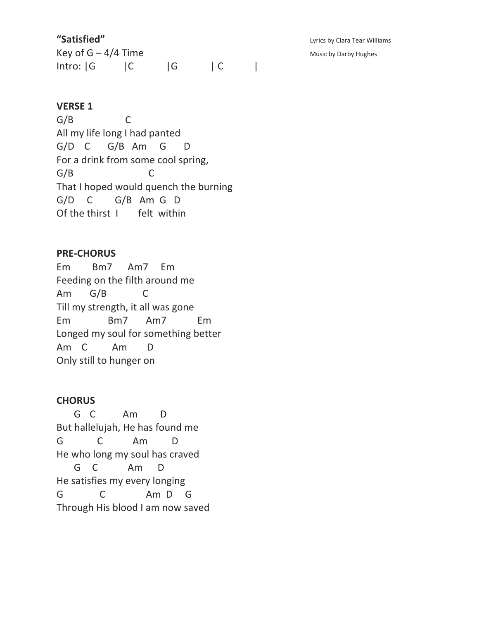Key of  $G - 4/4$  Time Music by Darby Hughes Intro: |G | C | G | C |

**VERSE 1**

G/B C All my life long I had panted G/D C G/B Am G D For a drink from some cool spring, G/B C That I hoped would quench the burning G/D C G/B Am G D Of the thirst I felt within

## **PRE-CHORUS**

Em Bm7 Am7 Em Feeding on the filth around me Am G/B C Till my strength, it all was gone Em Bm7 Am7 Em Longed my soul for something better Am C Am D Only still to hunger on

## **CHORUS**

 G C Am D But hallelujah, He has found me G C Am D He who long my soul has craved G C Am D He satisfies my every longing G C Am D G Through His blood I am now saved

**"Satisfied"** Lyrics by Clara Tear Williams